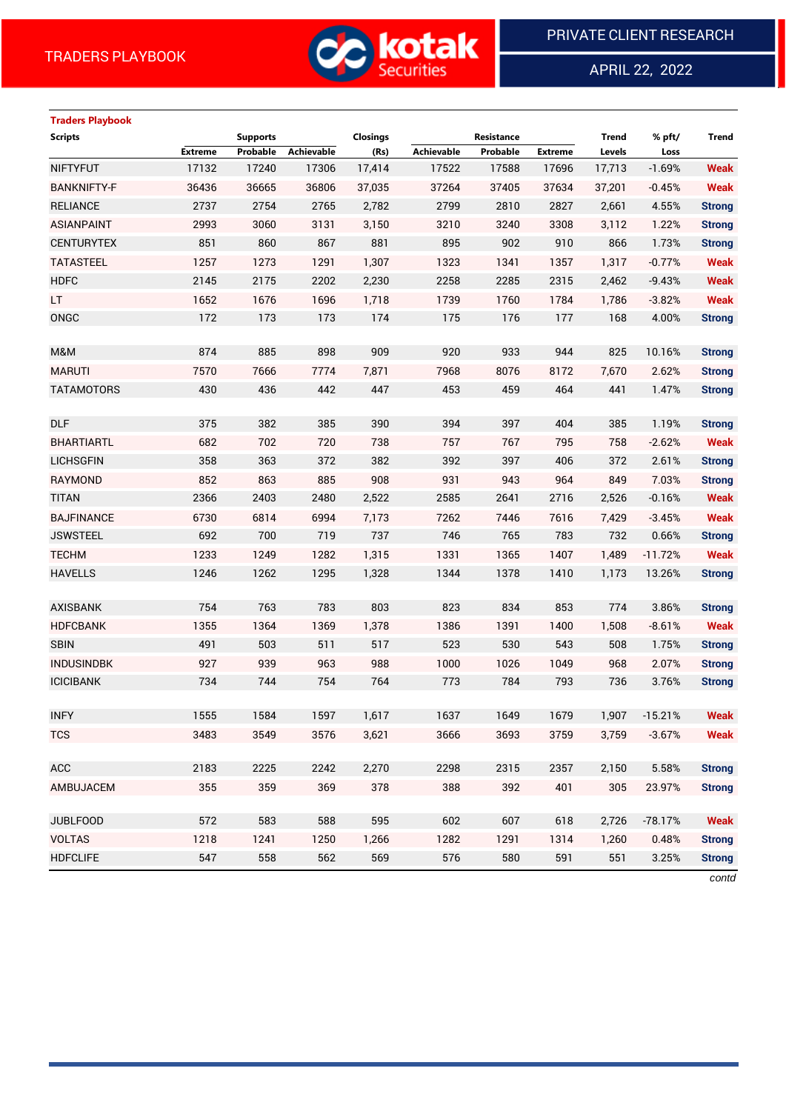

APRIL 22, 2022

 $\overline{a}$ 

# **Traders Playbook**

| <b>Scripts</b>     |         | <b>Supports</b> |            | <b>Closings</b> |                   | Resistance |                | <b>Trend</b> | % pft/    | <b>Trend</b>  |
|--------------------|---------|-----------------|------------|-----------------|-------------------|------------|----------------|--------------|-----------|---------------|
|                    | Extreme | Probable        | Achievable | (Rs)            | <b>Achievable</b> | Probable   | <b>Extreme</b> | Levels       | Loss      |               |
| <b>NIFTYFUT</b>    | 17132   | 17240           | 17306      | 17,414          | 17522             | 17588      | 17696          | 17,713       | $-1.69%$  | <b>Weak</b>   |
| <b>BANKNIFTY-F</b> | 36436   | 36665           | 36806      | 37,035          | 37264             | 37405      | 37634          | 37,201       | $-0.45%$  | <b>Weak</b>   |
| <b>RELIANCE</b>    | 2737    | 2754            | 2765       | 2,782           | 2799              | 2810       | 2827           | 2,661        | 4.55%     | <b>Strong</b> |
| <b>ASIANPAINT</b>  | 2993    | 3060            | 3131       | 3,150           | 3210              | 3240       | 3308           | 3,112        | 1.22%     | <b>Strong</b> |
| <b>CENTURYTEX</b>  | 851     | 860             | 867        | 881             | 895               | 902        | 910            | 866          | 1.73%     | <b>Strong</b> |
| <b>TATASTEEL</b>   | 1257    | 1273            | 1291       | 1,307           | 1323              | 1341       | 1357           | 1,317        | $-0.77%$  | <b>Weak</b>   |
| <b>HDFC</b>        | 2145    | 2175            | 2202       | 2,230           | 2258              | 2285       | 2315           | 2,462        | $-9.43%$  | <b>Weak</b>   |
| <b>LT</b>          | 1652    | 1676            | 1696       | 1,718           | 1739              | 1760       | 1784           | 1,786        | $-3.82%$  | <b>Weak</b>   |
| ONGC               | 172     | 173             | 173        | 174             | 175               | 176        | 177            | 168          | 4.00%     | <b>Strong</b> |
|                    |         |                 |            |                 |                   |            |                |              |           |               |
| M&M                | 874     | 885             | 898        | 909             | 920               | 933        | 944            | 825          | 10.16%    | <b>Strong</b> |
| <b>MARUTI</b>      | 7570    | 7666            | 7774       | 7,871           | 7968              | 8076       | 8172           | 7,670        | 2.62%     | <b>Strong</b> |
| <b>TATAMOTORS</b>  | 430     | 436             | 442        | 447             | 453               | 459        | 464            | 441          | 1.47%     | <b>Strong</b> |
|                    |         |                 |            |                 |                   |            |                |              |           |               |
| <b>DLF</b>         | 375     | 382             | 385        | 390             | 394               | 397        | 404            | 385          | 1.19%     | <b>Strong</b> |
| <b>BHARTIARTL</b>  | 682     | 702             | 720        | 738             | 757               | 767        | 795            | 758          | $-2.62%$  | <b>Weak</b>   |
| <b>LICHSGFIN</b>   | 358     | 363             | 372        | 382             | 392               | 397        | 406            | 372          | 2.61%     | <b>Strong</b> |
| <b>RAYMOND</b>     | 852     | 863             | 885        | 908             | 931               | 943        | 964            | 849          | 7.03%     | <b>Strong</b> |
| <b>TITAN</b>       | 2366    | 2403            | 2480       | 2,522           | 2585              | 2641       | 2716           | 2,526        | $-0.16%$  | <b>Weak</b>   |
| <b>BAJFINANCE</b>  | 6730    | 6814            | 6994       | 7,173           | 7262              | 7446       | 7616           | 7,429        | $-3.45%$  | <b>Weak</b>   |
| <b>JSWSTEEL</b>    | 692     | 700             | 719        | 737             | 746               | 765        | 783            | 732          | 0.66%     | <b>Strong</b> |
| <b>TECHM</b>       | 1233    | 1249            | 1282       | 1,315           | 1331              | 1365       | 1407           | 1,489        | $-11.72%$ | <b>Weak</b>   |
| <b>HAVELLS</b>     | 1246    | 1262            | 1295       | 1,328           | 1344              | 1378       | 1410           | 1,173        | 13.26%    | <b>Strong</b> |
|                    |         |                 |            |                 |                   |            |                |              |           |               |
| <b>AXISBANK</b>    | 754     | 763             | 783        | 803             | 823               | 834        | 853            | 774          | 3.86%     | <b>Strong</b> |
| <b>HDFCBANK</b>    | 1355    | 1364            | 1369       | 1,378           | 1386              | 1391       | 1400           | 1,508        | $-8.61%$  | <b>Weak</b>   |
| <b>SBIN</b>        | 491     | 503             | 511        | 517             | 523               | 530        | 543            | 508          | 1.75%     | <b>Strong</b> |
| <b>INDUSINDBK</b>  | 927     | 939             | 963        | 988             | 1000              | 1026       | 1049           | 968          | 2.07%     | <b>Strong</b> |
| <b>ICICIBANK</b>   | 734     | 744             | 754        | 764             | 773               | 784        | 793            | 736          | 3.76%     | <b>Strong</b> |
|                    |         |                 |            |                 |                   |            |                |              |           |               |
| <b>INFY</b>        | 1555    | 1584            | 1597       | 1,617           | 1637              | 1649       | 1679           | 1,907        | $-15.21%$ | <b>Weak</b>   |
| <b>TCS</b>         | 3483    | 3549            | 3576       | 3,621           | 3666              | 3693       | 3759           | 3,759        | $-3.67%$  | <b>Weak</b>   |
|                    |         |                 |            |                 |                   |            |                |              |           |               |
| ACC                | 2183    | 2225            | 2242       | 2,270           | 2298              | 2315       | 2357           | 2,150        | 5.58%     | <b>Strong</b> |
| AMBUJACEM          | 355     | 359             | 369        | 378             | 388               | 392        | 401            | 305          | 23.97%    | <b>Strong</b> |
|                    |         |                 |            |                 |                   |            |                |              |           |               |
| <b>JUBLFOOD</b>    | 572     | 583             | 588        | 595             | 602               | 607        | 618            | 2,726        | $-78.17%$ | <b>Weak</b>   |
| <b>VOLTAS</b>      | 1218    | 1241            | 1250       | 1,266           | 1282              | 1291       | 1314           | 1,260        | 0.48%     | <b>Strong</b> |
| <b>HDFCLIFE</b>    | 547     | 558             | 562        | 569             | 576               | 580        | 591            | 551          | 3.25%     | <b>Strong</b> |

*contd*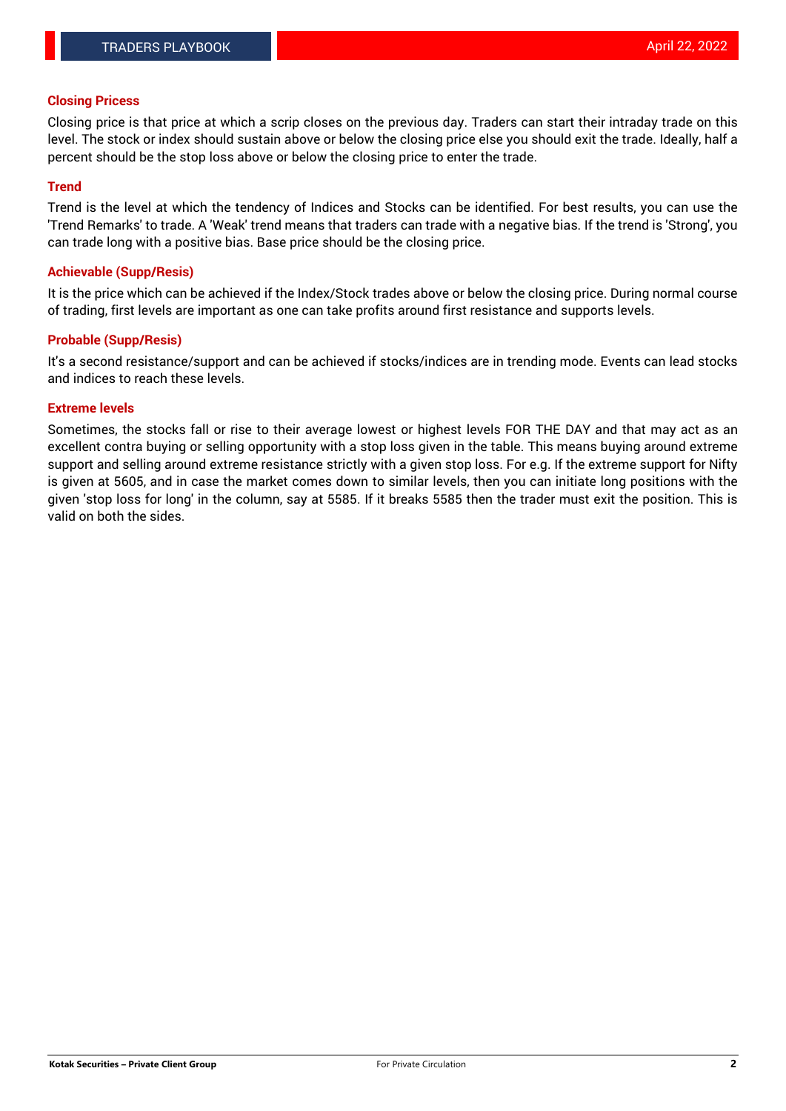#### **Closing Pricess**

Closing price is that price at which a scrip closes on the previous day. Traders can start their intraday trade on this level. The stock or index should sustain above or below the closing price else you should exit the trade. Ideally, half a percent should be the stop loss above or below the closing price to enter the trade.

### **Trend**

Trend is the level at which the tendency of Indices and Stocks can be identified. For best results, you can use the 'Trend Remarks' to trade. A 'Weak' trend means that traders can trade with a negative bias. If the trend is 'Strong', you can trade long with a positive bias. Base price should be the closing price.

#### **Achievable (Supp/Resis)**

It is the price which can be achieved if the Index/Stock trades above or below the closing price. During normal course of trading, first levels are important as one can take profits around first resistance and supports levels.

## **Probable (Supp/Resis)**

It's a second resistance/support and can be achieved if stocks/indices are in trending mode. Events can lead stocks and indices to reach these levels.

#### **Extreme levels**

Sometimes, the stocks fall or rise to their average lowest or highest levels FOR THE DAY and that may act as an excellent contra buying or selling opportunity with a stop loss given in the table. This means buying around extreme support and selling around extreme resistance strictly with a given stop loss. For e.g. If the extreme support for Nifty is given at 5605, and in case the market comes down to similar levels, then you can initiate long positions with the given 'stop loss for long' in the column, say at 5585. If it breaks 5585 then the trader must exit the position. This is valid on both the sides.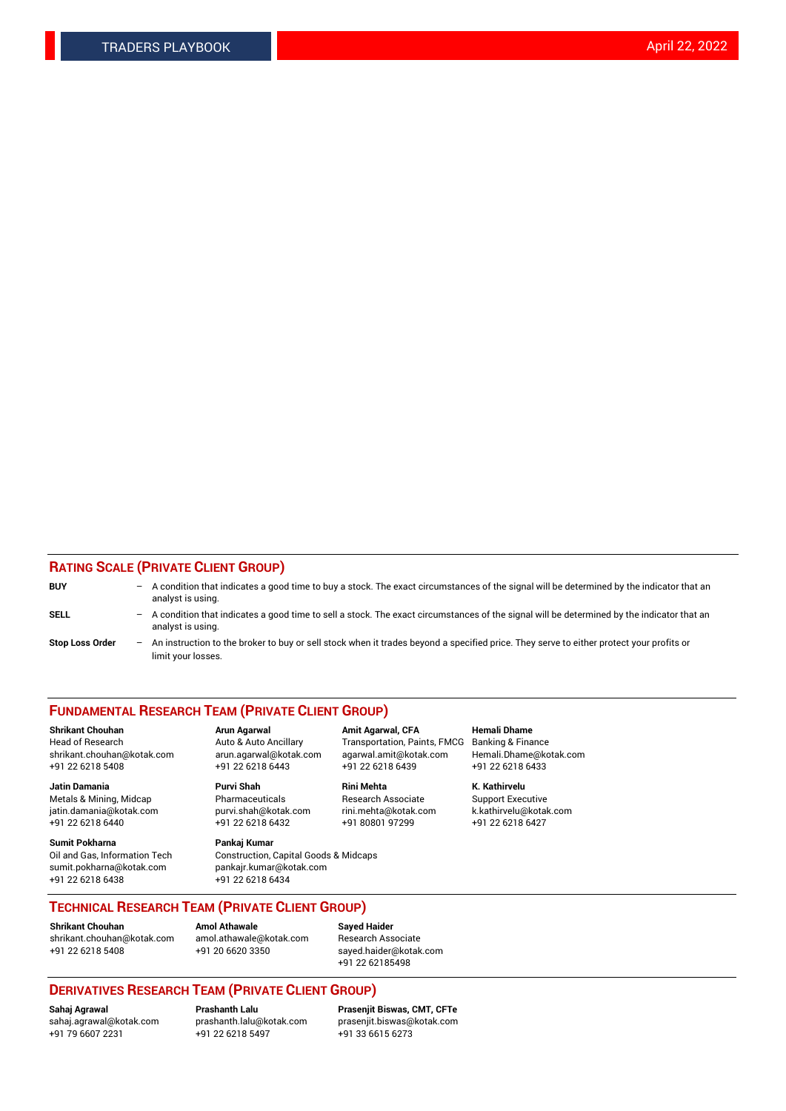## **RATING SCALE (PRIVATE CLIENT GROUP)**

| <b>BUY</b>             | -                 | A condition that indicates a good time to buy a stock. The exact circumstances of the signal will be determined by the indicator that an<br>analyst is using.  |
|------------------------|-------------------|----------------------------------------------------------------------------------------------------------------------------------------------------------------|
| SELL                   | -                 | A condition that indicates a good time to sell a stock. The exact circumstances of the signal will be determined by the indicator that an<br>analyst is using. |
| <b>Stop Loss Order</b> | $\qquad \qquad -$ | An instruction to the broker to buy or sell stock when it trades beyond a specified price. They serve to either protect your profits or<br>limit your losses.  |

#### **FUNDAMENTAL RESEARCH TEAM (PRIVATE CLIENT GROUP)**

**Shrikant Chouhan Arun Agarwal Amit Agarwal, CFA Hemali Dhame** Head of Research Auto & Auto Ancillary Transportation, Paints, FMCG Banking & Finance shrikant.chouhan@kotak.com arun.agarwal@kotak.com agarwal.amit@kotak.com Hemali.Dhame@kotak.com

**Jatin Damania Purvi Shah Rini Mehta K. Kathirvelu** Metals & Mining, Midcap **Pharmaceuticals** Research Associate Support Executive jatin.damania@kotak.com [purvi.shah@kotak.com](mailto:purvi.shah@kotak.com) rini.mehta@kotak.com [k.kathirvelu@kotak.com](mailto:k.kathirvelu@kotak.com)  $+91$  22 6218 6440  $+91$  22 6218 6432

**Sumit Pokharna Pankaj Kumar** sumit.pokharna@kotak.com pankajr.kumar@kotak.com +91 22 6218 6438 +91 22 6218 6434

Oil and Gas, Information Tech Construction, Capital Goods & Midcaps

+91 22 6218 5408 +91 22 6218 6443 +91 22 6218 6439 +91 22 6218 6433

**TECHNICAL RESEARCH TEAM (PRIVATE CLIENT GROUP)**

**Shrikant Chouhan Amol Athawale Sayed Haider** [shrikant.chouhan@kotak.com](mailto:shrikant.chouhan@kotak.com) [amol.athawale@kotak.com](mailto:amol.athawale@kotak.com) Research Associate +91 22 6218 5408 +91 20 6620 3350 [sayed.haider@kotak.com](mailto:sayed.haider@kotak.com)

+91 22 62185498

# **DERIVATIVES RESEARCH TEAM (PRIVATE CLIENT GROUP)**

 $+91$  22 6218 5497

**Sahaj Agrawal Prashanth Lalu Prasenjit Biswas, CMT, CFTe** [sahaj.agrawal@kotak.com](mailto:sahaj.agrawal@kotak.com) [prashanth.lalu@kotak.com](mailto:prashanth.lalu@kotak.com) [prasenjit.biswas@kotak.com](mailto:prasenjit.biswas@kotak.com)